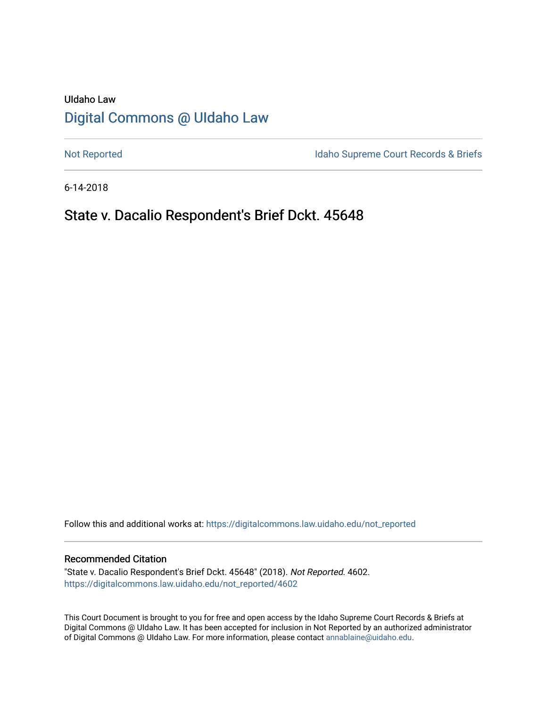# UIdaho Law [Digital Commons @ UIdaho Law](https://digitalcommons.law.uidaho.edu/)

[Not Reported](https://digitalcommons.law.uidaho.edu/not_reported) **Idaho Supreme Court Records & Briefs** 

6-14-2018

## State v. Dacalio Respondent's Brief Dckt. 45648

Follow this and additional works at: [https://digitalcommons.law.uidaho.edu/not\\_reported](https://digitalcommons.law.uidaho.edu/not_reported?utm_source=digitalcommons.law.uidaho.edu%2Fnot_reported%2F4602&utm_medium=PDF&utm_campaign=PDFCoverPages) 

#### Recommended Citation

"State v. Dacalio Respondent's Brief Dckt. 45648" (2018). Not Reported. 4602. [https://digitalcommons.law.uidaho.edu/not\\_reported/4602](https://digitalcommons.law.uidaho.edu/not_reported/4602?utm_source=digitalcommons.law.uidaho.edu%2Fnot_reported%2F4602&utm_medium=PDF&utm_campaign=PDFCoverPages)

This Court Document is brought to you for free and open access by the Idaho Supreme Court Records & Briefs at Digital Commons @ UIdaho Law. It has been accepted for inclusion in Not Reported by an authorized administrator of Digital Commons @ UIdaho Law. For more information, please contact [annablaine@uidaho.edu](mailto:annablaine@uidaho.edu).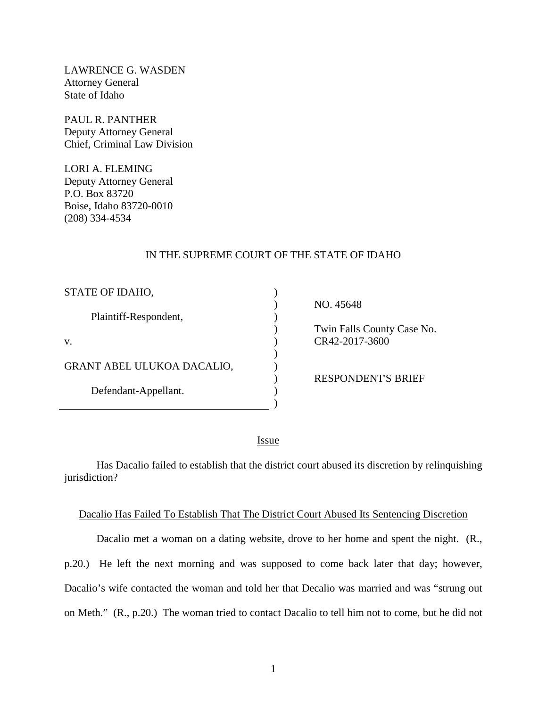LAWRENCE G. WASDEN Attorney General State of Idaho

PAUL R. PANTHER Deputy Attorney General Chief, Criminal Law Division

LORI A. FLEMING Deputy Attorney General P.O. Box 83720 Boise, Idaho 83720-0010 (208) 334-4534

#### IN THE SUPREME COURT OF THE STATE OF IDAHO

| STATE OF IDAHO,            |  |
|----------------------------|--|
| Plaintiff-Respondent,      |  |
| V.                         |  |
| GRANT ABEL ULUKOA DACALIO, |  |
| Defendant-Appellant.       |  |

NO. 45648

 Twin Falls County Case No. CR42-2017-3600

RESPONDENT'S BRIEF

<u>Issue</u>

) )

Has Dacalio failed to establish that the district court abused its discretion by relinquishing jurisdiction?

#### Dacalio Has Failed To Establish That The District Court Abused Its Sentencing Discretion

Dacalio met a woman on a dating website, drove to her home and spent the night. (R., p.20.) He left the next morning and was supposed to come back later that day; however, Dacalio's wife contacted the woman and told her that Decalio was married and was "strung out on Meth." (R., p.20.) The woman tried to contact Dacalio to tell him not to come, but he did not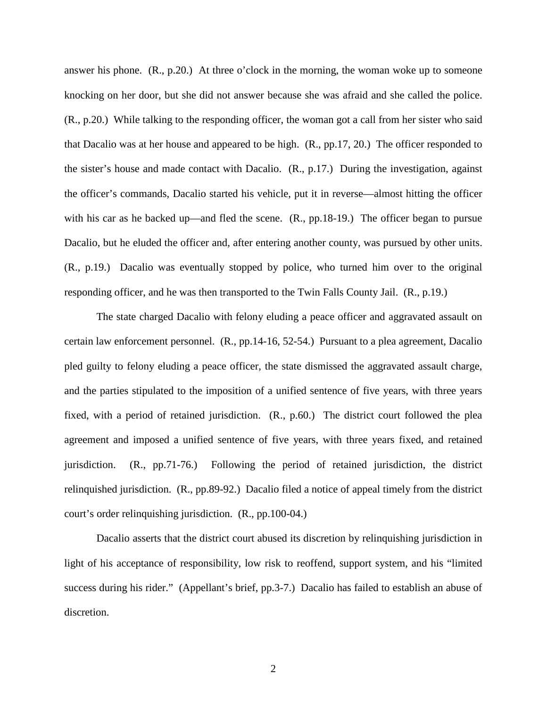answer his phone. (R., p.20.) At three o'clock in the morning, the woman woke up to someone knocking on her door, but she did not answer because she was afraid and she called the police. (R., p.20.) While talking to the responding officer, the woman got a call from her sister who said that Dacalio was at her house and appeared to be high. (R., pp.17, 20.) The officer responded to the sister's house and made contact with Dacalio. (R., p.17.) During the investigation, against the officer's commands, Dacalio started his vehicle, put it in reverse—almost hitting the officer with his car as he backed up—and fled the scene. (R., pp.18-19.) The officer began to pursue Dacalio, but he eluded the officer and, after entering another county, was pursued by other units. (R., p.19.) Dacalio was eventually stopped by police, who turned him over to the original responding officer, and he was then transported to the Twin Falls County Jail. (R., p.19.)

The state charged Dacalio with felony eluding a peace officer and aggravated assault on certain law enforcement personnel. (R., pp.14-16, 52-54.) Pursuant to a plea agreement, Dacalio pled guilty to felony eluding a peace officer, the state dismissed the aggravated assault charge, and the parties stipulated to the imposition of a unified sentence of five years, with three years fixed, with a period of retained jurisdiction. (R., p.60.) The district court followed the plea agreement and imposed a unified sentence of five years, with three years fixed, and retained jurisdiction. (R., pp.71-76.) Following the period of retained jurisdiction, the district relinquished jurisdiction. (R., pp.89-92.) Dacalio filed a notice of appeal timely from the district court's order relinquishing jurisdiction. (R., pp.100-04.)

Dacalio asserts that the district court abused its discretion by relinquishing jurisdiction in light of his acceptance of responsibility, low risk to reoffend, support system, and his "limited success during his rider." (Appellant's brief, pp.3-7.) Dacalio has failed to establish an abuse of discretion.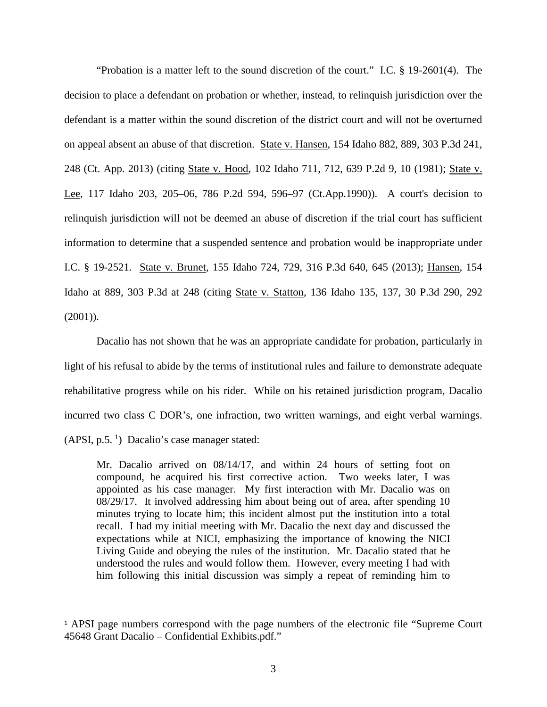"Probation is a matter left to the sound discretion of the court." I.C. § 19-2601(4). The decision to place a defendant on probation or whether, instead, to relinquish jurisdiction over the defendant is a matter within the sound discretion of the district court and will not be overturned on appeal absent an abuse of that discretion. State v. Hansen, 154 Idaho 882, 889, 303 P.3d 241, 248 (Ct. App. 2013) (citing State v. Hood, 102 Idaho 711, 712, 639 P.2d 9, 10 (1981); State v. Lee, 117 Idaho 203, 205–06, 786 P.2d 594, 596–97 (Ct.App.1990)). A court's decision to relinquish jurisdiction will not be deemed an abuse of discretion if the trial court has sufficient information to determine that a suspended sentence and probation would be inappropriate under I.C. § 19-2521. State v. Brunet, 155 Idaho 724, 729, 316 P.3d 640, 645 (2013); Hansen, 154 Idaho at 889, 303 P.3d at 248 (citing State v. Statton, 136 Idaho 135, 137, 30 P.3d 290, 292 (2001)).

Dacalio has not shown that he was an appropriate candidate for probation, particularly in light of his refusal to abide by the terms of institutional rules and failure to demonstrate adequate rehabilitative progress while on his rider. While on his retained jurisdiction program, Dacalio incurred two class C DOR's, one infraction, two written warnings, and eight verbal warnings.  $(APSI, p.5.$ <sup>[1](#page-3-0)</sup> $)$  Dacalio's case manager stated:

Mr. Dacalio arrived on 08/14/17, and within 24 hours of setting foot on compound, he acquired his first corrective action. Two weeks later, I was appointed as his case manager. My first interaction with Mr. Dacalio was on 08/29/17. It involved addressing him about being out of area, after spending 10 minutes trying to locate him; this incident almost put the institution into a total recall. I had my initial meeting with Mr. Dacalio the next day and discussed the expectations while at NICI, emphasizing the importance of knowing the NICI Living Guide and obeying the rules of the institution. Mr. Dacalio stated that he understood the rules and would follow them. However, every meeting I had with him following this initial discussion was simply a repeat of reminding him to

 $\overline{a}$ 

<span id="page-3-0"></span><sup>1</sup> APSI page numbers correspond with the page numbers of the electronic file "Supreme Court 45648 Grant Dacalio – Confidential Exhibits.pdf."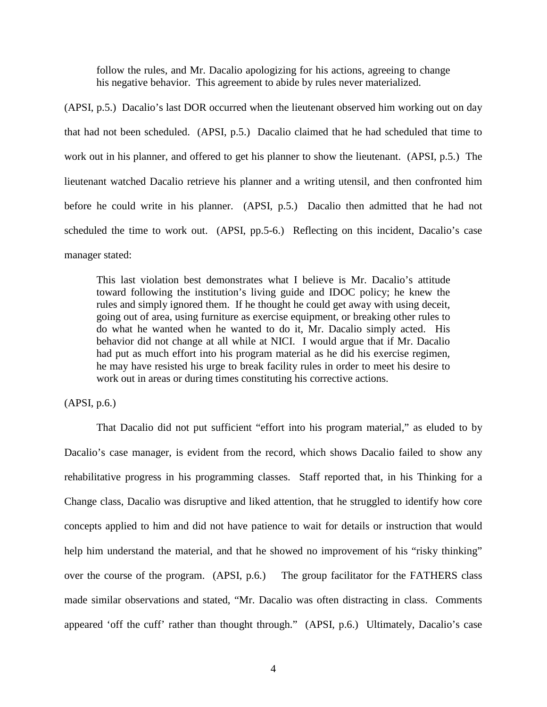follow the rules, and Mr. Dacalio apologizing for his actions, agreeing to change his negative behavior. This agreement to abide by rules never materialized.

(APSI, p.5.) Dacalio's last DOR occurred when the lieutenant observed him working out on day that had not been scheduled. (APSI, p.5.) Dacalio claimed that he had scheduled that time to work out in his planner, and offered to get his planner to show the lieutenant. (APSI, p.5.) The lieutenant watched Dacalio retrieve his planner and a writing utensil, and then confronted him before he could write in his planner. (APSI, p.5.) Dacalio then admitted that he had not scheduled the time to work out. (APSI, pp.5-6.) Reflecting on this incident, Dacalio's case manager stated:

This last violation best demonstrates what I believe is Mr. Dacalio's attitude toward following the institution's living guide and IDOC policy; he knew the rules and simply ignored them. If he thought he could get away with using deceit, going out of area, using furniture as exercise equipment, or breaking other rules to do what he wanted when he wanted to do it, Mr. Dacalio simply acted. His behavior did not change at all while at NICI. I would argue that if Mr. Dacalio had put as much effort into his program material as he did his exercise regimen, he may have resisted his urge to break facility rules in order to meet his desire to work out in areas or during times constituting his corrective actions.

(APSI, p.6.)

That Dacalio did not put sufficient "effort into his program material," as eluded to by Dacalio's case manager, is evident from the record, which shows Dacalio failed to show any rehabilitative progress in his programming classes. Staff reported that, in his Thinking for a Change class, Dacalio was disruptive and liked attention, that he struggled to identify how core concepts applied to him and did not have patience to wait for details or instruction that would help him understand the material, and that he showed no improvement of his "risky thinking" over the course of the program. (APSI, p.6.) The group facilitator for the FATHERS class made similar observations and stated, "Mr. Dacalio was often distracting in class. Comments appeared 'off the cuff' rather than thought through." (APSI, p.6.) Ultimately, Dacalio's case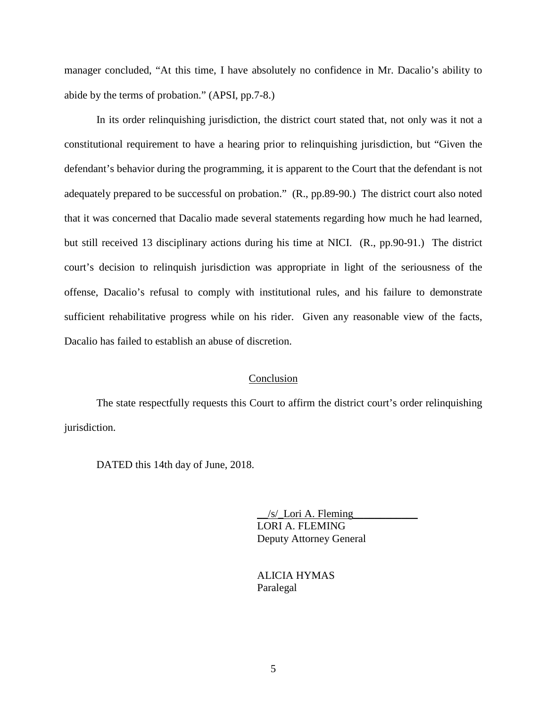manager concluded, "At this time, I have absolutely no confidence in Mr. Dacalio's ability to abide by the terms of probation." (APSI, pp.7-8.)

In its order relinquishing jurisdiction, the district court stated that, not only was it not a constitutional requirement to have a hearing prior to relinquishing jurisdiction, but "Given the defendant's behavior during the programming, it is apparent to the Court that the defendant is not adequately prepared to be successful on probation." (R., pp.89-90.) The district court also noted that it was concerned that Dacalio made several statements regarding how much he had learned, but still received 13 disciplinary actions during his time at NICI. (R., pp.90-91.) The district court's decision to relinquish jurisdiction was appropriate in light of the seriousness of the offense, Dacalio's refusal to comply with institutional rules, and his failure to demonstrate sufficient rehabilitative progress while on his rider. Given any reasonable view of the facts, Dacalio has failed to establish an abuse of discretion.

#### Conclusion

The state respectfully requests this Court to affirm the district court's order relinquishing jurisdiction.

DATED this 14th day of June, 2018.

 $/s/$  Lori A. Fleming LORI A. FLEMING Deputy Attorney General

 ALICIA HYMAS Paralegal